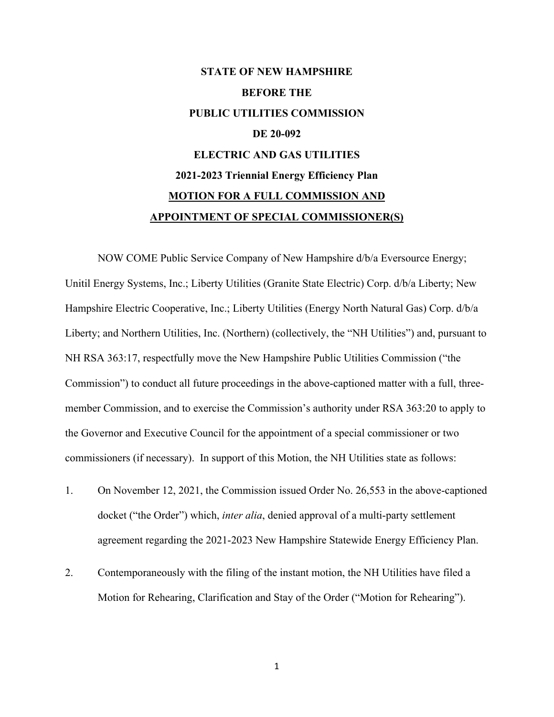## **STATE OF NEW HAMPSHIRE BEFORE THE PUBLIC UTILITIES COMMISSION DE 20-092 ELECTRIC AND GAS UTILITIES 2021-2023 Triennial Energy Efficiency Plan MOTION FOR A FULL COMMISSION AND APPOINTMENT OF SPECIAL COMMISSIONER(S)**

NOW COME Public Service Company of New Hampshire d/b/a Eversource Energy; Unitil Energy Systems, Inc.; Liberty Utilities (Granite State Electric) Corp. d/b/a Liberty; New Hampshire Electric Cooperative, Inc.; Liberty Utilities (Energy North Natural Gas) Corp. d/b/a Liberty; and Northern Utilities, Inc. (Northern) (collectively, the "NH Utilities") and, pursuant to NH RSA 363:17, respectfully move the New Hampshire Public Utilities Commission ("the Commission") to conduct all future proceedings in the above-captioned matter with a full, threemember Commission, and to exercise the Commission's authority under RSA 363:20 to apply to the Governor and Executive Council for the appointment of a special commissioner or two commissioners (if necessary). In support of this Motion, the NH Utilities state as follows:

- 1. On November 12, 2021, the Commission issued Order No. 26,553 in the above-captioned docket ("the Order") which, *inter alia*, denied approval of a multi-party settlement agreement regarding the 2021-2023 New Hampshire Statewide Energy Efficiency Plan.
- 2. Contemporaneously with the filing of the instant motion, the NH Utilities have filed a Motion for Rehearing, Clarification and Stay of the Order ("Motion for Rehearing").

1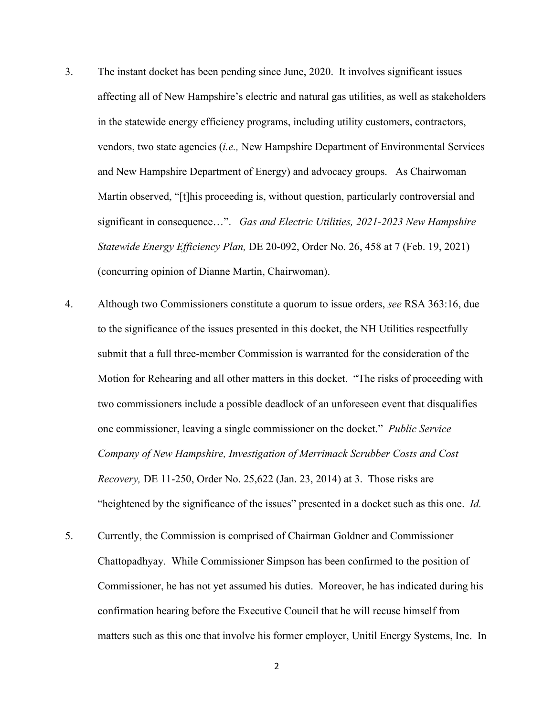- 3. The instant docket has been pending since June, 2020. It involves significant issues affecting all of New Hampshire's electric and natural gas utilities, as well as stakeholders in the statewide energy efficiency programs, including utility customers, contractors, vendors, two state agencies (*i.e.,* New Hampshire Department of Environmental Services and New Hampshire Department of Energy) and advocacy groups. As Chairwoman Martin observed, "[t]his proceeding is, without question, particularly controversial and significant in consequence…". *Gas and Electric Utilities, 2021-2023 New Hampshire Statewide Energy Efficiency Plan,* DE 20-092, Order No. 26, 458 at 7 (Feb. 19, 2021) (concurring opinion of Dianne Martin, Chairwoman).
- 4. Although two Commissioners constitute a quorum to issue orders, *see* RSA 363:16, due to the significance of the issues presented in this docket, the NH Utilities respectfully submit that a full three-member Commission is warranted for the consideration of the Motion for Rehearing and all other matters in this docket. "The risks of proceeding with two commissioners include a possible deadlock of an unforeseen event that disqualifies one commissioner, leaving a single commissioner on the docket." *Public Service Company of New Hampshire, Investigation of Merrimack Scrubber Costs and Cost Recovery,* DE 11-250, Order No. 25,622 (Jan. 23, 2014) at 3. Those risks are "heightened by the significance of the issues" presented in a docket such as this one. *Id.*
- 5. Currently, the Commission is comprised of Chairman Goldner and Commissioner Chattopadhyay. While Commissioner Simpson has been confirmed to the position of Commissioner, he has not yet assumed his duties. Moreover, he has indicated during his confirmation hearing before the Executive Council that he will recuse himself from matters such as this one that involve his former employer, Unitil Energy Systems, Inc. In

2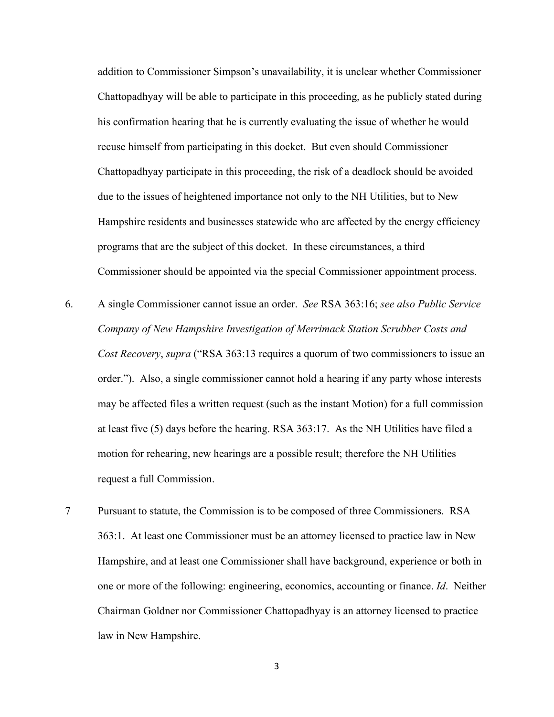addition to Commissioner Simpson's unavailability, it is unclear whether Commissioner Chattopadhyay will be able to participate in this proceeding, as he publicly stated during his confirmation hearing that he is currently evaluating the issue of whether he would recuse himself from participating in this docket. But even should Commissioner Chattopadhyay participate in this proceeding, the risk of a deadlock should be avoided due to the issues of heightened importance not only to the NH Utilities, but to New Hampshire residents and businesses statewide who are affected by the energy efficiency programs that are the subject of this docket. In these circumstances, a third Commissioner should be appointed via the special Commissioner appointment process.

- 6. A single Commissioner cannot issue an order. *See* RSA 363:16; *see also Public Service Company of New Hampshire Investigation of Merrimack Station Scrubber Costs and Cost Recovery*, *supra* ("RSA 363:13 requires a quorum of two commissioners to issue an order."). Also, a single commissioner cannot hold a hearing if any party whose interests may be affected files a written request (such as the instant Motion) for a full commission at least five (5) days before the hearing. RSA 363:17. As the NH Utilities have filed a motion for rehearing, new hearings are a possible result; therefore the NH Utilities request a full Commission.
- 7 Pursuant to statute, the Commission is to be composed of three Commissioners. RSA 363:1. At least one Commissioner must be an attorney licensed to practice law in New Hampshire, and at least one Commissioner shall have background, experience or both in one or more of the following: engineering, economics, accounting or finance. *Id*. Neither Chairman Goldner nor Commissioner Chattopadhyay is an attorney licensed to practice law in New Hampshire.

3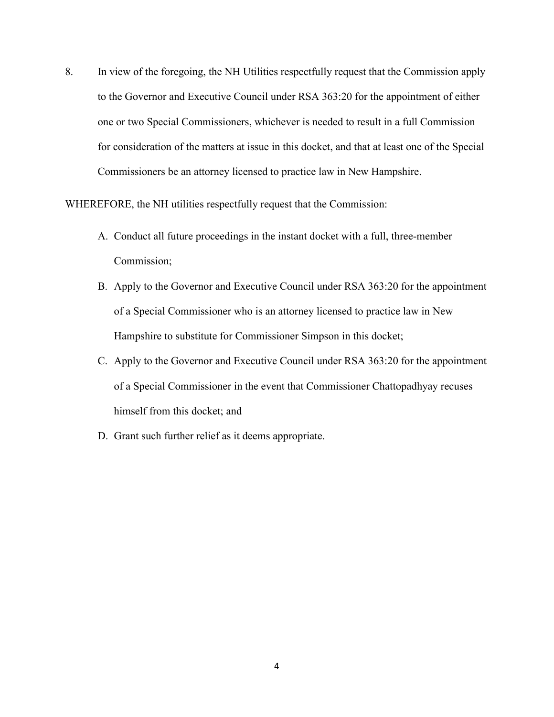8. In view of the foregoing, the NH Utilities respectfully request that the Commission apply to the Governor and Executive Council under RSA 363:20 for the appointment of either one or two Special Commissioners, whichever is needed to result in a full Commission for consideration of the matters at issue in this docket, and that at least one of the Special Commissioners be an attorney licensed to practice law in New Hampshire.

WHEREFORE, the NH utilities respectfully request that the Commission:

- A. Conduct all future proceedings in the instant docket with a full, three-member Commission;
- B. Apply to the Governor and Executive Council under RSA 363:20 for the appointment of a Special Commissioner who is an attorney licensed to practice law in New Hampshire to substitute for Commissioner Simpson in this docket;
- C. Apply to the Governor and Executive Council under RSA 363:20 for the appointment of a Special Commissioner in the event that Commissioner Chattopadhyay recuses himself from this docket; and
- D. Grant such further relief as it deems appropriate.